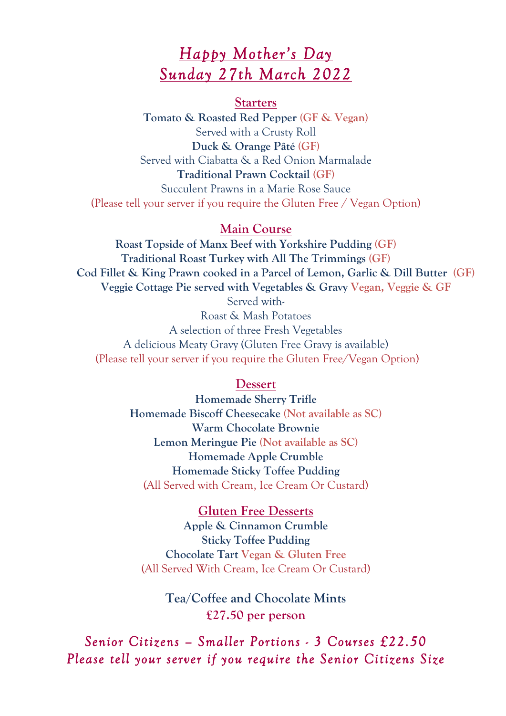# *Happy Mother's Day Sunday 27th March 2022*

#### **Starters**

**Tomato & Roasted Red Pepper (GF & Vegan)** Served with a Crusty Roll **Duck & Orange Pâté (GF)** Served with Ciabatta & a Red Onion Marmalade **Traditional Prawn Cocktail (GF)** Succulent Prawns in a Marie Rose Sauce (Please tell your server if you require the Gluten Free / Vegan Option)

### **Main Course**

**Roast Topside of Manx Beef with Yorkshire Pudding (GF) Traditional Roast Turkey with All The Trimmings (GF) Cod Fillet & King Prawn cooked in a Parcel of Lemon, Garlic & Dill Butter (GF) Veggie Cottage Pie served with Vegetables & Gravy Vegan, Veggie & GF**

Served with-Roast & Mash Potatoes A selection of three Fresh Vegetables A delicious Meaty Gravy (Gluten Free Gravy is available) (Please tell your server if you require the Gluten Free/Vegan Option)

### **Dessert**

**Homemade Sherry Trifle Homemade Biscoff Cheesecake (Not available as SC) Warm Chocolate Brownie Lemon Meringue Pie (Not available as SC) Homemade Apple Crumble Homemade Sticky Toffee Pudding** (All Served with Cream, Ice Cream Or Custard)

### **Gluten Free Desserts**

**Apple & Cinnamon Crumble Sticky Toffee Pudding Chocolate Tart Vegan & Gluten Free** (All Served With Cream, Ice Cream Or Custard)

> **Tea/Coffee and Chocolate Mints £27.50 per person**

*Senior Citizens – Smaller Portions - 3 Courses £22.50 Please tell your server if you require the Senior Citizens Size*